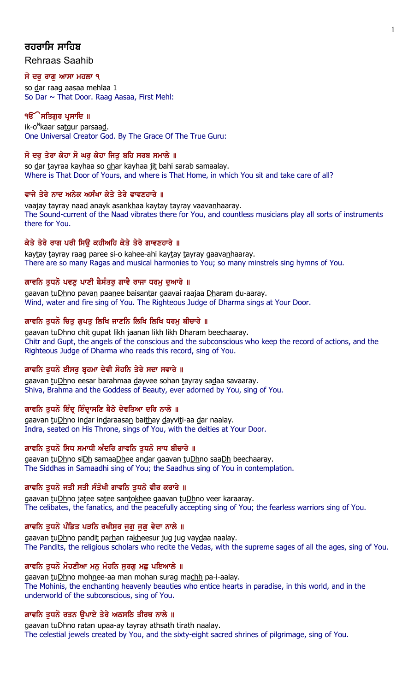# ਰਹਰਾਸਿ ਸਾਹਿ**ਬ**

Rehraas Saahib

## ਸੋ ਦਰ ਰਾਗ ਆਸਾ ਮਹਲਾ ੧

so dar raag aasaa mehlaa 1 So Dar ~ That Door. Raag Aasaa, First Mehl:

## ੧**ੳੇਸਤਿਗਰ ਪ੍ਰਸਾਦਿ** ॥

ik-o<sup>n</sup>kaar sa<u>tg</u>ur parsaa<u>d</u>. One Universal Creator God. By The Grace Of The True Guru:

## ਸੋ ਦਰੁ ਤੇਰਾ ਕੇਹਾ ਸੋ ਘਰੁ ਕੇਹਾ ਜਿਤੁ ਬਹਿ ਸਰਬ ਸਮਾਲੇ ॥

so dar tayraa kayhaa so ghar kayhaa jit bahi sarab samaalay. Where is That Door of Yours, and where is That Home, in which You sit and take care of all?

## ਵਾਜੇ ਤੇਰੇ ਨਾਦ ਅਨੇਕ ਅਸੰਖਾ ਕੇਤੇ ਤੇਰੇ ਵਾਵਣਹਾਰੇ ॥

vaajay tayray naad anayk asankhaa kaytay tayray vaavanhaaray. The Sound-current of the Naad vibrates there for You, and countless musicians play all sorts of instruments there for You.

## ਕੇਤੇ ਤੇਰੇ ਰਾਗ ਪਰੀ ਸਿਉ ਕਹੀਅਹਿ ਕੇਤੇ ਤੇਰੇ ਗਾਵਣਹਾਰੇ ॥

kaytay tayray raag paree si-o kahee-ahi kaytay tayray gaavanhaaray. There are so many Ragas and musical harmonies to You; so many minstrels sing hymns of You.

## ਗਾਵਨਿ ਤਧਨੋ ਪਵਣ ਪਾਣੀ ਬੈਸੰਤਰ ਗਾਵੈ ਰਾਜਾ ਧਰਮ ਦਆਰੇ ॥

gaavan tuDhno pavan paanee baisantar gaavai raajaa Dharam du-aaray. Wind, water and fire sing of You. The Righteous Judge of Dharma sings at Your Door.

## ਗਾਵਨਿ ਤੁਧਨੋ ਚਿਤੁ ਗੁਪਤੁ ਲਿਖਿ ਜਾਣਨਿ ਲਿਖਿ ਲਿਖਿ ਧਰਮੁ ਬੀਚਾਰੇ ॥

gaavan tuDhno chit gupat likh jaanan likh likh Dharam beechaaray. Chitr and Gupt, the angels of the conscious and the subconscious who keep the record of actions, and the Righteous Judge of Dharma who reads this record, sing of You.

## ਗਾਵਨਿ ਤਧਨੋ ਈਸਰ ਬੁਹਮਾ ਦੇਵੀ ਸੋਹਨਿ ਤੇਰੇ ਸਦਾ ਸਵਾਰੇ ॥

gaavan tuDhno eesar barahmaa dayvee sohan tayray sadaa savaaray. Shiva, Brahma and the Goddess of Beauty, ever adorned by You, sing of You.

## ਗਾਵਨਿ ਤੁਧਨੋ ਇੰਦ੍ਰ ਇੰਦ੍ਰਾਸਣਿ ਬੈਠੇ ਦੇਵਤਿਆ ਦਰਿ ਨਾਲੇ ॥

gaavan tuDhno indar indaraasan baithay dayviti-aa dar naalay. Indra, seated on His Throne, sings of You, with the deities at Your Door.

## ਗਾਵਨਿ ਤੁਧਨੋ ਸਿਧ ਸਮਾਧੀ ਅੰਦਰਿ ਗਾਵਨਿ ਤੁਧਨੋ ਸਾਧ ਬੀਚਾਰੇ ॥

gaavan tuDhno siDh samaaDhee andar gaavan tuDhno saaDh beechaaray. The Siddhas in Samaadhi sing of You; the Saadhus sing of You in contemplation.

## ਗਾਵਨਿ ਤੁਧਨੋ ਜਤੀ ਸਤੀ ਸੰਤੋਖੀ ਗਾਵਨਿ ਤੁਧਨੋ ਵੀਰ ਕਰਾਰੇ ॥

gaavan tuDhno jatee satee santokhee gaavan tuDhno veer karaaray. The celibates, the fanatics, and the peacefully accepting sing of You; the fearless warriors sing of You.

## ਗਾਵਨਿ ਤੁਧਨੋ ਪੰਡਿਤ ਪੜਨਿ ਰਖੀਸੁਰ ਜੁਗੁ ਜੁਗੁ ਵੇਦਾ ਨਾਲੇ ॥

gaavan tuDhno pandit parhan rakheesur jug jug vaydaa naalay. The Pandits, the religious scholars who recite the Vedas, with the supreme sages of all the ages, sing of You.

## ਗਾਵਨਿ ਤੁਧਨੋ ਮੋਹਣੀਆ ਮਨੁ ਮੋਹਨਿ ਸੁਰਗ ਮਛੁ ਪਇਆਲੇ ॥

gaavan tuDhno mohnee-aa man mohan surag machh pa-i-aalay. The Mohinis, the enchanting heavenly beauties who entice hearts in paradise, in this world, and in the underworld of the subconscious, sing of You.

## ਗਾਵਨਿ ਤੁਧਨੋ ਰਤਨ ਉਪਾਏ ਤੇਰੇ ਅਠਸਠਿ ਤੀਰਥ ਨਾਲੇ ॥

gaavan tuDhno ratan upaa-ay tayray athsath tirath naalay. The celestial jewels created by You, and the sixty-eight sacred shrines of pilgrimage, sing of You.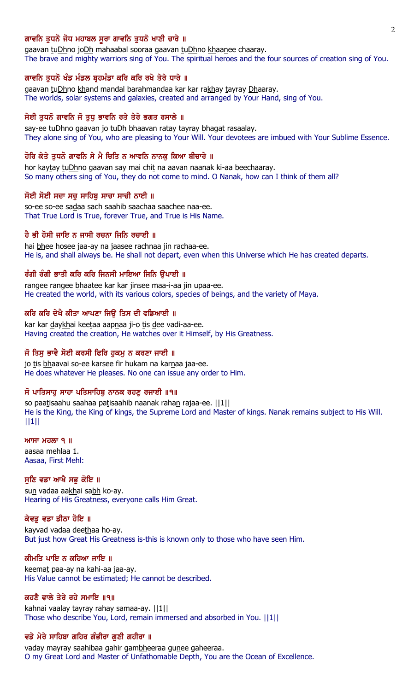### ਗਾਵਨਿ ਤਧਨੋ ਜੋਧ ਮਹਾਬਲ ਸਰਾ ਗਾਵਨਿ ਤਧਨੋ ਖਾਣੀ ਚਾਰੇ ॥

gaavan tuDhno joDh mahaabal sooraa gaavan tuDhno khaanee chaaray. The brave and mighty warriors sing of You. The spiritual heroes and the four sources of creation sing of You.

## ਗਾਵਨਿ ਤੁਧਨੋ ਖੰਡ ਮੰਡਲ ਬੁਹਮੰਡਾ ਕਰਿ ਕਰਿ ਰਖੇ ਤੇਰੇ ਧਾਰੇ ॥

gaavan tuDhno khand mandal barahmandaa kar kar rakhay tayray Dhaaray. The worlds, solar systems and galaxies, created and arranged by Your Hand, sing of You.

## ਸੇਈ ਤੁਧਨੋ ਗਾਵਨਿ ਜੋ ਤੁਧੂ ਭਾਵਨਿ ਰਤੇ ਤੇਰੇ ਭਗਤ ਰਸਾਲੇ ॥

say-ee tuDhno gaavan jo tuDh bhaavan ratay tayray bhagat rasaalay. They alone sing of You, who are pleasing to Your Will. Your devotees are imbued with Your Sublime Essence.

## ਹੋਰਿ ਕੇਤੇ ਤਧਨੋ ਗਾਵਨਿ ਸੇ ਮੈ ਚਿਤਿ ਨ ਆਵਨਿ ਨਾਨਕ ਕਿਆ ਬੀਚਾਰੇ ॥

hor kaytay tuDhno gaavan say mai chit na aavan naanak ki-aa beechaaray. So many others sing of You, they do not come to mind. O Nanak, how can I think of them all?

#### ਸੋਈ ਸੋਈ ਸਦਾ ਸਚ ਸਾਹਿਬ ਸਾਚਾ ਸਾਚੀ ਨਾਈ ॥

so-ee so-ee sadaa sach saahib saachaa saachee naa-ee. That True Lord is True, forever True, and True is His Name.

## ਹੈ ਭੀ ਹੋਸੀ ਜਾਇ ਨ ਜਾਸੀ ਰਚਨਾ ਜਿਨਿ ਰਚਾਈ ॥

hai bhee hosee jaa-ay na jaasee rachnaa jin rachaa-ee. He is, and shall always be. He shall not depart, even when this Universe which He has created departs.

### ਰੰਗੀ ਰੰਗੀ ਭਾਤੀ ਕਰਿ ਕਰਿ ਜਿਨਸੀ ਮਾਇਆ ਜਿਨਿ ੳਪਾਈ ॥

rangee rangee bhaatee kar kar jinsee maa-i-aa jin upaa-ee. He created the world, with its various colors, species of beings, and the variety of Maya.

#### ਕਰਿ ਕਰਿ ਦੇਖੈ ਕੀਤਾ ਆਪਣਾ ਜਿੳ ਤਿਸ ਦੀ ਵਡਿਆਈ ॥

kar kar daykhai keetaa aapnaa ji-o tis dee vadi-aa-ee. Having created the creation, He watches over it Himself, by His Greatness.

## ਜੋ ਤਿਸ ਭਾਵੈ ਸੋਈ ਕਰਸੀ ਫਿਰਿ ਹਕਮ ਨ ਕਰਣਾ ਜਾਈ ॥

jo tis bhaavai so-ee karsee fir hukam na karnaa jaa-ee. He does whatever He pleases. No one can issue any order to Him.

## ਸੋ ਪਾਤਿਸਾਹ ਸਾਹਾ ਪਤਿਸਾਹਿਬ ਨਾਨਕ ਰਹਣ ਰਜਾਈ ॥੧॥

so paatisaahu saahaa patisaahib naanak rahan rajaa-ee. ||1|| He is the King, the King of kings, the Supreme Lord and Master of kings. Nanak remains subject to His Will. ||1||

#### $MT$   $H$  $\overline{O}$   $\overline{O}$   $\overline{O}$   $\overline{O}$   $\overline{O}$   $\overline{O}$   $\overline{O}$   $\overline{O}$   $\overline{O}$   $\overline{O}$   $\overline{O}$   $\overline{O}$   $\overline{O}$   $\overline{O}$   $\overline{O}$   $\overline{O}$   $\overline{O}$   $\overline{O}$   $\overline{O}$   $\overline{O}$   $\overline{O}$   $\overline{O}$   $\overline{O}$   $\overline{O}$

aasaa mehlaa 1. Aasaa, First Mehl:

## ਸੁਣਿ ਵਡਾ ਆਖੈ ਸਭੁ ਕੋਇ ॥

sun vadaa aakhai sabh ko-ay. Hearing of His Greatness, everyone calls Him Great.

#### ਕੇਵਡ ਵਡਾ ਡੀਠਾ ਹੋਇ ॥

kayvad vadaa deethaa ho-ay. But just how Great His Greatness is-this is known only to those who have seen Him.

## ਕੀਮਤਿ ਪਾਇ ਨ ਕਹਿਆ ਜਾਇ ॥

keemat paa-ay na kahi-aa jaa-ay. His Value cannot be estimated; He cannot be described.

## ਕਹਣੈ ਵਾਲੇ ਤੇਰੇ ਰਹੇ ਸਮਾਇ ॥੧॥

kahnai vaalay tayray rahay samaa-ay. | | 1 | | Those who describe You, Lord, remain immersed and absorbed in You. ||1||

#### ਵਡੇ ਮੇਰੇ ਸਾਹਿਬਾ ਗਹਿਰ ਗੰਭੀਰਾ ਗੁਣੀ ਗਹੀਰਾ ॥

vaday mayray saahibaa gahir gambheeraa gunee gaheeraa. O my Great Lord and Master of Unfathomable Depth, You are the Ocean of Excellence.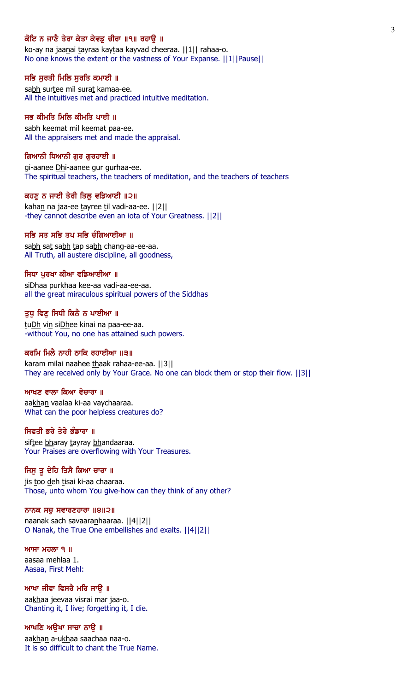## ਕੋਇ ਨ ਜਾਣੈ ਤੇਰਾ ਕੇਤਾ ਕੇਵਡ ਚੀਰਾ ॥੧॥ ਰਹਾੳ ॥

ko-ay na jaanai tayraa kaytaa kayvad cheeraa. | | 1 | | rahaa-o. No one knows the extent or the vastness of Your Expanse. ||1||Pause||

### ਸਭਿ ਸੁਰਤੀ ਮਿਲਿ ਸੁਰਤਿ ਕਮਾਈ ॥

sabh surtee mil surat kamaa-ee. All the intuitives met and practiced intuitive meditation.

## ਸਭ ਕੀਮਤਿ ਮਿਲਿ ਕੀਮਤਿ ਪਾਈ ॥

sabh keemat mil keemat paa-ee. All the appraisers met and made the appraisal.

#### ਗਿਆਨੀ ਧਿਆਨੀ ਗਰ ਗਰਹਾਈ ॥

gi-aanee Dhi-aanee gur gurhaa-ee. The spiritual teachers, the teachers of meditation, and the teachers of teachers

#### ਕਹਣ ਨ ਜਾਈ ਤੇਰੀ ਤਿਲ ਵਡਿਆਈ ॥੨॥

kahan na jaa-ee tayree til vadi-aa-ee. ||2|| -they cannot describe even an iota of Your Greatness. ||2||

## ਸਭਿ ਸਤ ਸਭਿ ਤਪ ਸਭਿ ਚੰਗਿਆਈਆ ॥

sabh sat sabh tap sabh chang-aa-ee-aa. All Truth, all austere discipline, all goodness,

### ਸਿਧਾ ਪਰਖਾ ਕੀਆ ਵਡਿਆਈਆ ॥

siDhaa purkhaa kee-aa vadi-aa-ee-aa. all the great miraculous spiritual powers of the Siddhas

#### ਤੁਧੂ ਵਿਣੂ ਸਿਧੀ ਕਿਨੈ ਨ ਪਾਈਆ ॥

tuDh vin siDhee kinai na paa-ee-aa. -without You, no one has attained such powers.

## ਕਰਮਿ ਮਿਲੈ ਨਾਹੀ ਠਾਕਿ ਰਹਾਈਆ ॥੩॥

karam milai naahee thaak rahaa-ee-aa. ||3|| They are received only by Your Grace. No one can block them or stop their flow. ||3||

## ਆਖਣ ਵਾਲਾ ਕਿਆ ਵੇਚਾਰਾ ॥

aakhan vaalaa ki-aa vaychaaraa. What can the poor helpless creatures do?

## ਸਿਫਤੀ ਭਰੇ ਤੇਰੇ ਭੰਡਾਰਾ ॥

siftee bharay tayray bhandaaraa. Your Praises are overflowing with Your Treasures.

### ਜਿਸੁ ਤੁ ਦੇਹਿ ਤਿਸੈ ਕਿਆ ਚਾਰਾ ॥

jis too deh tisai ki-aa chaaraa. Those, unto whom You give-how can they think of any other?

### ਨਾਨਕ ਸਚੁ ਸਵਾਰਣਹਾਰਾ ॥੪॥੨॥

naanak sach savaaranhaaraa. ||4||2|| O Nanak, the True One embellishes and exalts. ||4||2||

Awsw mhlw 1 ] aasaa mehlaa 1. Aasaa, First Mehl:

ਆਖਾ ਜੀਵਾ ਵਿਸਰੈ ਮਰਿ ਜਾਉ ॥ aakhaa jeevaa visrai mar jaa-o. Chanting it, I live; forgetting it, I die.

# ਆਖਣਿ ਅਉਖਾ ਸਾਚਾ ਨਾਉ ॥

aakhan a-ukhaa saachaa naa-o. It is so difficult to chant the True Name.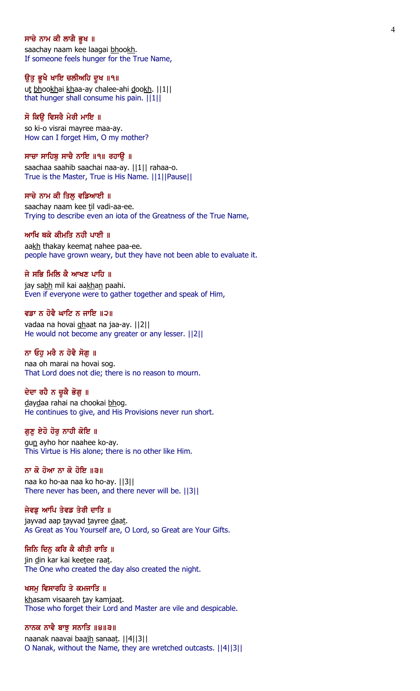#### ਸਾਚੇ ਨਾਮ ਕੀ ਲਾਗੈ ਭੁਖ ॥

saachay naam kee laagai bhookh. If someone feels hunger for the True Name,

#### ਉਤੂ ਭੁਖੈ ਖਾਇ ਚਲੀਅਹਿ ਦੁਖ ॥੧॥

ut bhookhai khaa-ay chalee-ahi dookh. ||1|| that hunger shall consume his pain. ||1||

## ਸੋ ਕਿਉ ਵਿਸਰੈ ਮੇਰੀ ਮਾਇ ॥

so ki-o visrai mayree maa-ay. How can I forget Him, O my mother?

#### ਸਾਚਾ ਸਾਹਿਬ ਸਾਚੈ ਨਾਇ ॥੧॥ ਰਹਾੳ ॥

saachaa saahib saachai naa-ay. ||1|| rahaa-o. True is the Master, True is His Name. ||1||Pause||

#### ਸਾਚੇ ਨਾਮ ਕੀ ਤਿਲ ਵਡਿਆਈ ॥

saachay naam kee til vadi-aa-ee. Trying to describe even an iota of the Greatness of the True Name,

### ਆਖਿ ਥਕੇ ਕੀਮਤਿ ਨਹੀ ਪਾਈ ॥

aakh thakay keemat nahee paa-ee. people have grown weary, but they have not been able to evaluate it.

### ਜੇ ਸਭਿ ਮਿਲਿ ਕੈ ਆਖਣ ਪਾਹਿ ॥

jay sabh mil kai aakhan paahi. Even if everyone were to gather together and speak of Him,

### ਵਡਾ ਨ ਹੋਵੈ ਘਾਟਿ ਨ ਜਾਇ ॥੨॥

vadaa na hovai ghaat na jaa-ay. ||2|| He would not become any greater or any lesser. ||2||

## ਨਾ ਓਹੁ ਮਰੈ ਨ ਹੋਵੈ ਸੋਗੁ ॥

naa oh marai na hovai sog. That Lord does not die; there is no reason to mourn.

## ਦੇਦਾ ਰਹੈ ਨ ਚੁਕੈ ਭੋਗੁ ॥

daydaa rahai na chookai bhog. He continues to give, and His Provisions never run short.

## ਗੁਣੁ ਏਹੋ ਹੋਰੁ ਨਾਹੀ ਕੋਇ ॥

gun ayho hor naahee ko-ay. This Virtue is His alone; there is no other like Him.

## ਨਾ ਕੋ ਹੋਆ ਨਾ ਕੋ ਹੋਇ ॥੩॥

naa ko ho-aa naa ko ho-ay. ||3|| There never has been, and there never will be. ||3||

## ਜੇਵਡੂ ਆਪਿ ਤੇਵਡ ਤੇਰੀ ਦਾਤਿ ॥

jayvad aap tayvad tayree daat. As Great as You Yourself are, O Lord, so Great are Your Gifts.

## ਜਿਨਿ ਦਿਨੂ ਕਰਿ ਕੈ ਕੀਤੀ ਰਾਤਿ ॥

jin din kar kai keetee raat. The One who created the day also created the night.

#### ਖਸਮੂ ਵਿਸਾਰਹਿ ਤੇ ਕਮਜਾਤਿ ॥

khasam visaareh tay kamjaat. Those who forget their Lord and Master are vile and despicable.

### ਨਾਨਕ ਨਾਵੈ ਬਾਝੂ ਸਨਾਤਿ ॥੪॥੩॥

naanak naavai baajh sanaat. | | 4 | | 3 | | O Nanak, without the Name, they are wretched outcasts. ||4||3||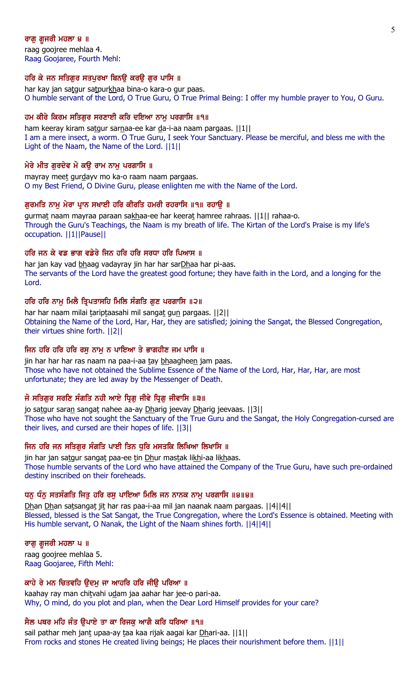## ਰਾਗ ਗ਼ਜਰੀ ਮਹਲਾ ੪ ॥

raag goojree mehlaa 4. Raag Goojaree, Fourth Mehl:

## ਹਰਿ ਕੇ ਜਨ ਸਤਿਗੁਰ ਸਤਪੁਰਖਾ ਬਿਨਉ ਕਰਉ ਗੁਰ ਪਾਸਿ ॥

har kay jan satgur satpurkhaa bina-o kara-o gur paas. O humble servant of the Lord, O True Guru, O True Primal Being: I offer my humble prayer to You, O Guru.

### ਹਮ ਕੀਰੇ ਕਿਰਮ ਸਤਿਗੁਰ ਸਰਣਾਈ ਕਰਿ ਦਇਆ ਨਾਮੂ ਪਰਗਾਸਿ ॥੧॥

ham keeray kiram satgur sarnaa-ee kar da-i-aa naam pargaas. ||1|| I am a mere insect, a worm. O True Guru, I seek Your Sanctuary. Please be merciful, and bless me with the Light of the Naam, the Name of the Lord. ||1||

## ਮੇਰੇ ਮੀਤ ਗੁਰਦੇਵ ਮੋ ਕਉ ਰਾਮ ਨਾਮੂ ਪਰਗਾਸਿ ॥

mayray meet gurdayy mo ka-o raam naam pargaas. O my Best Friend, O Divine Guru, please enlighten me with the Name of the Lord.

### ਗਰਮਤਿ ਨਾਮ ਮੇਰਾ ਪਾਨ ਸਖਾਈ ਹਰਿ ਕੀਰਤਿ ਹਮਰੀ ਰਹਰਾਸਿ ॥੧॥ ਰਹਾੳ ॥

gurmat naam mayraa paraan sakhaa-ee har keerat hamree rahraas. ||1|| rahaa-o. Through the Guru's Teachings, the Naam is my breath of life. The Kirtan of the Lord's Praise is my life's occupation. ||1||Pause||

## ਹਰਿ ਜਨ ਕੇ ਵਡ ਭਾਗ ਵਡੇਰੇ ਜਿਨ ਹਰਿ ਹਰਿ ਸਰਧਾ ਹਰਿ ਪਿਆਸ ॥

har jan kay vad bhaag vadayray jin har har sarDhaa har pi-aas. The servants of the Lord have the greatest good fortune; they have faith in the Lord, and a longing for the Lord.

### ਹਰਿ ਹਰਿ ਨਾਮ ਮਿਲੈ ਤਿ੍ਪਤਾਸਹਿ ਮਿਲਿ ਸੰਗਤਿ ਗਣ ਪਰਗਾਸਿ ॥੨॥

har har naam milai tariptaasahi mil sangat gun pargaas. ||2|| Obtaining the Name of the Lord, Har, Har, they are satisfied; joining the Sangat, the Blessed Congregation, their virtues shine forth. ||2||

## ਜਿਨ ਹਰਿ ਹਰਿ ਹਰਿ ਰਸ ਨਾਮ ਨ ਪਾਇਆ ਤੇ ਭਾਗਹੀਣ ਜਮ ਪਾਸਿ ॥

jin har har har ras naam na paa-i-aa tay bhaagheen jam paas. Those who have not obtained the Sublime Essence of the Name of the Lord, Har, Har, Har, are most unfortunate; they are led away by the Messenger of Death.

## ਜੋ ਸਤਿਗਰ ਸਰਣਿ ਸੰਗਤਿ ਨਹੀ ਆਏ ਧਿਗ ਜੀਵੇ ਧਿਗ ਜੀਵਾਸਿ ॥੩॥

jo satgur saran sangat nahee aa-ay Dharig jeevay Dharig jeevaas. [[3]] Those who have not sought the Sanctuary of the True Guru and the Sangat, the Holy Congregation-cursed are their lives, and cursed are their hopes of life. ||3||

## ਜਿਨ ਹਰਿ ਜਨ ਸਤਿਗਰ ਸੰਗਤਿ ਪਾਈ ਤਿਨ ਧਰਿ ਮਸਤਕਿ ਲਿਖਿਆ ਲਿਖਾਸਿ ॥

jin har jan satgur sangat paa-ee tin Dhur mastak likhi-aa likhaas. Those humble servants of the Lord who have attained the Company of the True Guru, have such pre-ordained destiny inscribed on their foreheads.

## ਧਨ ਧੰਨ ਸਤਸੰਗਤਿ ਜਿਤ ਹਰਿ ਰਸ ਪਾਇਆ ਮਿਲਿ ਜਨ ਨਾਨਕ ਨਾਮ ਪਰਗਾਸਿ ॥੪॥੪॥

Dhan Dhan satsangat jit har ras paa-i-aa mil jan naanak naam pargaas. ||4||4|| Blessed, blessed is the Sat Sangat, the True Congregation, where the Lord's Essence is obtained. Meeting with His humble servant, O Nanak, the Light of the Naam shines forth. ||4||4||

## ਰਾਗੁ ਗੁਜਰੀ ਮਹਲਾ ਪ ॥

raag goojree mehlaa 5. Raag Goojaree, Fifth Mehl:

### ਕਾਹੇ ਰੇ ਮਨ ਚਿਤਵਹਿ ੳਦਮ ਜਾ ਆਹਰਿ ਹਰਿ ਜੀੳ ਪਰਿਆ ॥

kaahay ray man chitvahi udam jaa aahar har jee-o pari-aa. Why, O mind, do you plot and plan, when the Dear Lord Himself provides for your care?

## ਸੈਲ ਪਥਰ ਮਹਿ ਜੰਤ ੳਪਾਏ ਤਾ ਕਾ ਰਿਜਕ ਆਗੈ ਕਰਿ ਧਰਿਆ ॥੧॥

sail pathar meh jant upaa-ay taa kaa rijak aagai kar Dhari-aa. ||1|| From rocks and stones He created living beings; He places their nourishment before them. ||1||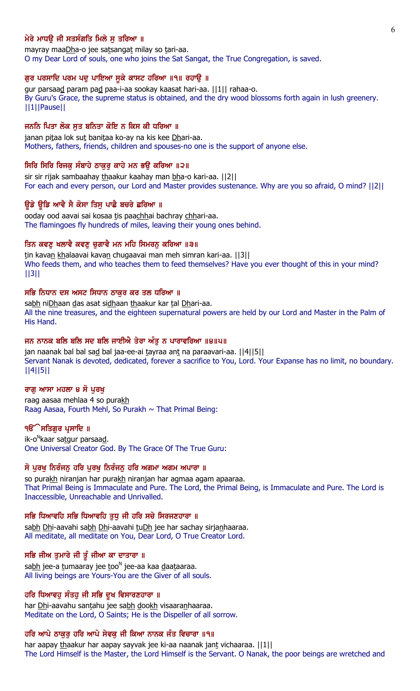## ਮੇਰੇ ਮਾਧੳ ਜੀ ਸਤਸੰਗਤਿ ਮਿਲੇ ਸ ਤਰਿਆ ॥

mayray maaDha-o jee satsangat milay so tari-aa. O my Dear Lord of souls, one who joins the Sat Sangat, the True Congregation, is saved.

### ਗੁਰ ਪਰਸਾਦਿ ਪਰਮ ਪਦੁ ਪਾਇਆ ਸੁਕੇ ਕਾਸਟ ਹਰਿਆ ॥੧॥ ਰਹਾਉ ॥

gur parsaad param pad paa-i-aa sookay kaasat hari-aa. ||1|| rahaa-o. By Guru's Grace, the supreme status is obtained, and the dry wood blossoms forth again in lush greenery. ||1||Pause||

### ਜਨਨਿ ਪਿਤਾ ਲੋਕ ਸੂਤ ਬਨਿਤਾ ਕੋਇ ਨ ਕਿਸ ਕੀ ਧਰਿਆ ॥

janan pitaa lok sut banitaa ko-ay na kis kee Dhari-aa. Mothers, fathers, friends, children and spouses-no one is the support of anyone else.

## ਸਿਰਿ ਸਿਰਿ ਰਿਜਕੁ ਸੰਬਾਹੇ ਠਾਕੁਰੂ ਕਾਹੇ ਮਨ ਭਉ ਕਰਿਆ ॥੨॥

sir sir rijak sambaahay thaakur kaahay man bha-o kari-aa. [[2]] For each and every person, our Lord and Master provides sustenance. Why are you so afraid, O mind? ||2||

### ਉਡੇ ਉਡਿ ਆਵੈ ਸੈ ਕੋਸਾ ਤਿਸੂ ਪਾਛੈ ਬਚਰੇ ਛਰਿਆ ॥

ooday ood aavai sai kosaa tis paachhai bachray chhari-aa. The flamingoes fly hundreds of miles, leaving their young ones behind.

#### ਤਿਨ ਕਵਣ ਖਲਾਵੈ ਕਵਣ ਚਗਾਵੈ ਮਨ ਮਹਿ ਸਿਮਰਨ ਕਰਿਆ ॥੩॥

tin kavan khalaavai kavan chugaavai man meh simran kari-aa. [[3]] Who feeds them, and who teaches them to feed themselves? Have you ever thought of this in your mind? ||3||

#### ਸਭਿ ਨਿਧਾਨ ਦਸ ਅਸਟ ਸਿਧਾਨ ਠਾਕਰ ਕਰ ਤਲ ਧਰਿਆ ॥

sabh niDhaan das asat sidhaan thaakur kar tal Dhari-aa. All the nine treasures, and the eighteen supernatural powers are held by our Lord and Master in the Palm of His Hand.

#### ਜਨ ਨਾਨਕ ਬਲਿ ਬਲਿ ਸਦ ਬਲਿ ਜਾਈਐ ਤੇਰਾ ਅੰਤੁ ਨ ਪਾਰਾਵਰਿਆ ॥੪॥੫॥

jan naanak bal bal sad bal jaa-ee-ai tayraa ant na paraavari-aa. [[4][5]] Servant Nanak is devoted, dedicated, forever a sacrifice to You, Lord. Your Expanse has no limit, no boundary. ||4||5||

#### ਰਾਗ ਆਸਾ ਮਹਲਾ ੪ ਸੌ ਪਰਖ

raag aasaa mehlaa 4 so purakh Raag Aasaa, Fourth Mehl, So Purakh  $\sim$  That Primal Being:

#### ੧**ੳੇਸਤਿਗਰ ਪ੍ਰਸਾਦਿ** ॥

ik-o<sup>n</sup>kaar sa<u>t</u>gur parsaa<u>d</u>. One Universal Creator God. By The Grace Of The True Guru:

#### ਸੋ ਪੂਰਖੂ ਨਿਰੰਜਨੂ ਹਰਿ ਪੂਰਖੂ ਨਿਰੰਜਨੂ ਹਰਿ ਅਗਮਾ ਅਗਮ ਅਪਾਰਾ ॥

so purakh niranjan har purakh niranjan har agmaa agam apaaraa. That Primal Being is Immaculate and Pure. The Lord, the Primal Being, is Immaculate and Pure. The Lord is Inaccessible, Unreachable and Unrivalled.

## ਸਭਿ ਧਿਆਵਹਿ ਸਭਿ ਧਿਆਵਹਿ ਤੁਧੂ ਜੀ ਹਰਿ ਸਚੇ ਸਿਰਜਣਹਾਰਾ ॥

sabh Dhi-aavahi sabh Dhi-aavahi tuDh jee har sachay sirjanhaaraa. All meditate, all meditate on You, Dear Lord, O True Creator Lord.

## ਸਭਿ ਜੀਅ ਤੁਮਾਰੇ ਜੀ ਤੂੰ ਜੀਆ ਕਾ ਦਾਤਾਰਾ ॥

sa<u>bh</u> jee-a <u>t</u>umaaray jee <u>t</u>oo<sup>n</sup> jee-aa kaa <u>d</u>aa<u>t</u>aaraa. All living beings are Yours-You are the Giver of all souls.

## ਹਰਿ ਧਿਆਵਹੁ ਸੰਤਹੁ ਜੀ ਸਭਿ ਦੁਖ ਵਿਸਾਰਣਹਾਰਾ ॥

har Dhi-aavahu santahu jee sabh dookh visaaranhaaraa. Meditate on the Lord, O Saints; He is the Dispeller of all sorrow.

## ਹਰਿ ਆਪੇ ਠਾਕੁਰੂ ਹਰਿ ਆਪੇ ਸੇਵਕੂ ਜੀ ਕਿਆ ਨਾਨਕ ਜੰਤ ਵਿਚਾਰਾ ॥੧॥

har aapay thaakur har aapay sayvak jee ki-aa naanak jant vichaaraa. ||1|| The Lord Himself is the Master, the Lord Himself is the Servant. O Nanak, the poor beings are wretched and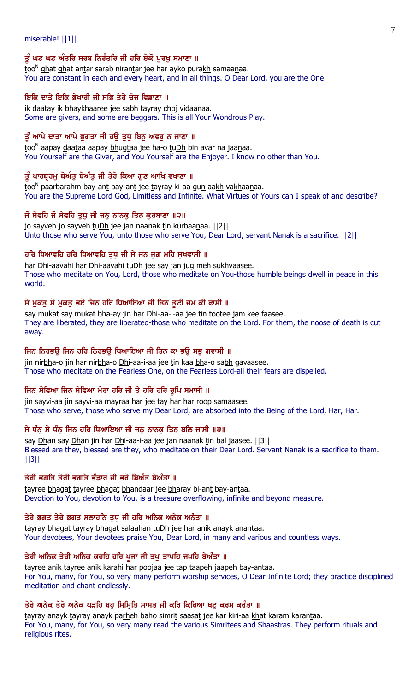### miserable! ||1||

## ਤੂੰ ਘਟ ਘਟ ਅੰਤਰਿ ਸਰਬ ਨਿਰੰਤਰਿ ਜੀ ਹਰਿ ਏਕੋ ਪੂਰਖੂ ਸਮਾਣਾ ॥

 $\rm{too}^N$  ghat ghat antar sarab nirantar jee har ayko purakh samaanaa. You are constant in each and every heart, and in all things. O Dear Lord, you are the One.

## ਇਕਿ ਦਾਤੇ ਇਕਿ ਭੇਖਾਰੀ ਜੀ ਸਭਿ ਤੇਰੇ ਚੋਜ ਵਿਡਾਣਾ ॥

ik daatay ik bhaykhaaree jee sabh tayray choj vidaanaa. Some are givers, and some are beggars. This is all Your Wondrous Play.

## ਤੂੰ ਆਪੇ ਦਾਤਾ ਆਪੇ ਭੁਗਤਾ ਜੀ ਹਉ ਤੁਧੂ ਬਿਨੂ ਅਵਰੂ ਨ ਜਾਣਾ ॥

too<sup>n</sup> aapay <u>d</u>aataa aapay <u>bh</u>ugtaa jee ha-o tuDh bin avar na jaanaa. You Yourself are the Giver, and You Yourself are the Enjoyer. I know no other than You.

## ਤੂੰ ਪਾਰਬ੍ਰਹਮੁ ਬੇਅੰਤੂ ਬੇਅੰਤੁ ਜੀ ਤੇਰੇ ਕਿਆ ਗੁਣ ਆਖਿ ਵਖਾਣਾ ॥

<u>t</u>oo<sup>n</sup> paarbarahm bay-an<u>t</u> bay-an<u>t</u> jee <u>t</u>ayray ki-aa gu<u>n</u> aa<u>kh</u> va<u>kh</u>aa<u>n</u>aa. You are the Supreme Lord God, Limitless and Infinite. What Virtues of Yours can I speak of and describe?

## ਜੋ ਸੇਵਹਿ ਜੋ ਸੇਵਹਿ ਤੁਧੂ ਜੀ ਜਨੂ ਨਾਨਕੂ ਤਿਨ ਕੁਰਬਾਣਾ ॥੨॥

jo sayveh jo sayveh tuDh jee jan naanak tin kurbaanaa. ||2|| Unto those who serve You, unto those who serve You, Dear Lord, servant Nanak is a sacrifice. ||2||

## ਹਰਿ ਧਿਆਵਹਿ ਹਰਿ ਧਿਆਵਹਿ ਤਧ ਜੀ ਸੇ ਜਨ ਜਗ ਮਹਿ ਸਖਵਾਸੀ ॥

har Dhi-aavahi har Dhi-aavahi tuDh jee say jan jug meh sukhvaasee. Those who meditate on You, Lord, those who meditate on You-those humble beings dwell in peace in this world.

## ਸੇ ਮੁਕਤੂ ਸੇ ਮੁਕਤੂ ਭਏ ਜਿਨ ਹਰਿ ਧਿਆਇਆ ਜੀ ਤਿਨ ਤੁਟੀ ਜਮ ਕੀ ਫਾਸੀ ॥

say mukat say mukat bha-ay jin har Dhi-aa-i-aa jee tin tootee jam kee faasee. They are liberated, they are liberated-those who meditate on the Lord. For them, the noose of death is cut away.

## ਜਿਨ ਨਿਰਭਉ ਜਿਨ ਹਰਿ ਨਿਰਭਉ ਧਿਆਇਆ ਜੀ ਤਿਨ ਕਾ ਭਉ ਸਭੁ ਗਵਾਸੀ ॥

jin nirbha-o jin har nirbha-o Dhi-aa-i-aa jee tin kaa bha-o sabh gavaasee. Those who meditate on the Fearless One, on the Fearless Lord-all their fears are dispelled.

## ਜਿਨ ਸੇਵਿਆ ਜਿਨ ਸੇਵਿਆ ਮੇਰਾ ਹਰਿ ਜੀ ਤੇ ਹਰਿ ਹਰਿ ਰੁਪਿ ਸਮਾਸੀ ॥

jin sayvi-aa jin sayvi-aa mayraa har jee tay har har roop samaasee. Those who serve, those who serve my Dear Lord, are absorbed into the Being of the Lord, Har, Har.

## ਸੇ ਧੰਨੂ ਸੇ ਧੰਨੂ ਜਿਨ ਹਰਿ ਧਿਆਇਆ ਜੀ ਜਨੂ ਨਾਨਕੂ ਤਿਨ ਬਲਿ ਜਾਸੀ ॥੩॥

say Dhan say Dhan jin har Dhi-aa-i-aa jee jan naanak tin bal jaasee. [[3]] Blessed are they, blessed are they, who meditate on their Dear Lord. Servant Nanak is a sacrifice to them. ||3||

## ਤੇਰੀ ਭਗਤਿ ਤੇਰੀ ਭਗਤਿ ਭੰਡਾਰ ਜੀ ਭਰੇ ਬਿਅੰਤ ਬੇਅੰਤਾ ॥

tayree bhagat tayree bhagat bhandaar jee bharay bi-ant bay-antaa. Devotion to You, devotion to You, is a treasure overflowing, infinite and beyond measure.

## ਤੇਰੇ ਭਗਤ ਤੇਰੇ ਭਗਤ ਸਲਾਹਨਿ ਤੁਧੂ ਜੀ ਹਰਿ ਅਨਿਕ ਅਨੇਕ ਅਨੰਤਾ ॥

tayray bhagat tayray bhagat salaahan tuDh jee har anik anayk anantaa. Your devotees, Your devotees praise You, Dear Lord, in many and various and countless ways.

## ਤੇਰੀ ਅਨਿਕ ਤੇਰੀ ਅਨਿਕ ਕਰਹਿ ਹਰਿ ਪੂਜਾ ਜੀ ਤਪ ਤਾਪਹਿ ਜਪਹਿ ਬੇਅੰਤਾ ॥

tayree anik tayree anik karahi har poojaa jee tap taapeh jaapeh bay-antaa. For You, many, for You, so very many perform worship services, O Dear Infinite Lord; they practice disciplined meditation and chant endlessly.

## ਤੇਰੇ ਅਨੇਕ ਤੇਰੇ ਅਨੇਕ ਪੜਹਿ ਬਹ ਸਿਮਿਤਿ ਸਾਸਤ ਜੀ ਕਰਿ ਕਿਰਿਆ ਖਟ ਕਰਮ ਕਰੰਤਾ ॥

tayray anayk tayray anayk parheh baho simrit saasat jee kar kiri-aa khat karam karantaa. For You, many, for You, so very many read the various Simritees and Shaastras. They perform rituals and religious rites.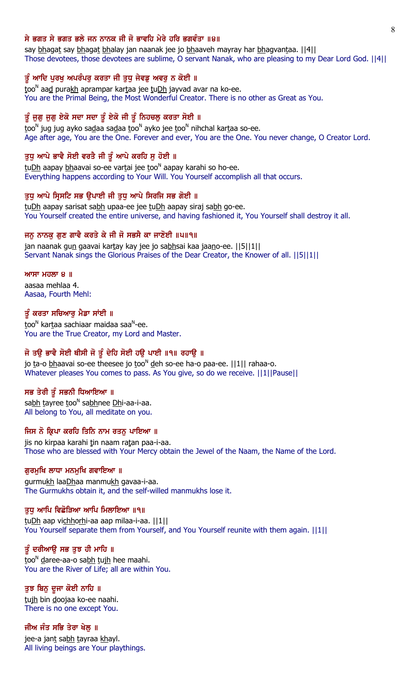## ਸੇ ਭਗਤ ਸੇ ਭਗਤ ਭਲੇ ਜਨ ਨਾਨਕ ਜੀ ਜੋ ਭਾਵਹਿ ਮੇਰੇ ਹਰਿ ਭਗਵੰਤਾ ॥੪॥

say bhagat say bhagat bhalay jan naanak jee jo bhaaveh mayray har bhagvantaa. [[4]] Those devotees, those devotees are sublime, O servant Nanak, who are pleasing to my Dear Lord God. ||4||

## ਤੂੰ ਆਦਿ ਪੂਰਖੂ ਅਪਰੰਪਰੂ ਕਰਤਾ ਜੀ ਤੁਧੂ ਜੇਵਡੂ ਅਵਰੂ ਨ ਕੋਈ ॥

too<sup>n</sup> aa<u>d</u> purakh aprampar kartaa jee tu<u>Dh</u> jayvad avar na ko-ee. You are the Primal Being, the Most Wonderful Creator. There is no other as Great as You.

## ਤੂੰ ਜੁਗੁ ਜੁਗੁ ਏਕੋ ਸਦਾ ਸਦਾ ਤੂੰ ਏਕੋ ਜੀ ਤੂੰ ਨਿਹਚਲੁ ਕਰਤਾ ਸੋਈ ॥

<u>t</u>oo<sup>n</sup> jug jug ayko sa<u>d</u>aa sa<u>d</u>aa <u>t</u>oo<sup>n</sup> ayko jee <u>t</u>oo<sup>n</sup> nihchal kar<u>t</u>aa so-ee. Age after age, You are the One. Forever and ever, You are the One. You never change, O Creator Lord.

## ਤੁਧੁ ਆਪੇ ਭਾਵੈ ਸੋਈ ਵਰਤੈ ਜੀ ਤੂੰ ਆਪੇ ਕਰਹਿ ਸੁ ਹੋਈ ॥

tu<u>Dh</u> aapay <u>bh</u>aavai so-ee vartai jee too<sup>n</sup> aapay karahi so ho-ee. Everything happens according to Your Will. You Yourself accomplish all that occurs.

#### ਤੁਧੂ ਆਪੇ ਸਿਸਟਿ ਸਭ ਉਪਾਈ ਜੀ ਤੁਧੂ ਆਪੇ ਸਿਰਜਿ ਸਭ ਗੋਈ ॥

tuDh aapay sarisat sabh upaa-ee jee tuDh aapay siraj sabh go-ee. You Yourself created the entire universe, and having fashioned it, You Yourself shall destroy it all.

#### ਜਨੂ ਨਾਨਕੂ ਗੁਣ ਗਾਵੈ ਕਰਤੇ ਕੇ ਜੀ ਜੋ ਸਭਸੈ ਕਾ ਜਾਣੋਈ ॥੫॥੧॥

jan naanak gun gaavai kartay kay jee jo sabhsai kaa jaano-ee. [[5][1]] Servant Nanak sings the Glorious Praises of the Dear Creator, the Knower of all. ||5||1||

#### $MT$   $H$  $\overline{O}$   $\overline{O}$   $\overline{O}$   $\overline{O}$   $\overline{O}$   $\overline{O}$   $\overline{O}$   $\overline{O}$   $\overline{O}$   $\overline{O}$   $\overline{O}$   $\overline{O}$   $\overline{O}$   $\overline{O}$   $\overline{O}$   $\overline{O}$   $\overline{O}$   $\overline{O}$   $\overline{O}$   $\overline{O}$   $\overline{O}$   $\overline{O}$   $\overline{O}$   $\overline{O}$

aasaa mehlaa 4. Aasaa, Fourth Mehl:

#### ਤੂੰ ਕਰਤਾ ਸਚਿਆਰੂ ਮੈਡਾ ਸਾਂਈ ॥

<u>t</u>oo<sup>n</sup> kar<u>t</u>aa sachiaar maidaa saa<sup>n</sup>-ee. You are the True Creator, my Lord and Master.

## ਜੋ ਤਉ ਭਾਵੈ ਸੋਈ ਥੀਸੀ ਜੋ ਤੂੰ ਦੇਹਿ ਸੋਈ ਹਉ ਪਾਈ ॥੧॥ ਰਹਾਉ ॥

jo ta-o bhaavai so-ee theesee jo too<sup>n</sup> deh so-ee ha-o paa-ee. ||1|| rahaa-o. Whatever pleases You comes to pass. As You give, so do we receive. ||1||Pause||

## ਸਭ ਤੇਰੀ ਤੂੰ ਸਭਨੀ ਧਿਆਇਆ ॥

sa<u>bh t</u>ayree <u>t</u>oo<sup>n</sup> sa<u>bh</u>nee <u>Dh</u>i-aa-i-aa. All belong to You, all meditate on you.

## ਜਿਸ ਨੋ ਕ੍ਰਿਪਾ ਕਰਹਿ ਤਿਨਿ ਨਾਮ ਰਤਨੁ ਪਾਇਆ ॥

jis no kirpaa karahi tin naam ratan paa-i-aa. Those who are blessed with Your Mercy obtain the Jewel of the Naam, the Name of the Lord.

#### ਗੁਰਮੁਖਿ ਲਾਧਾ ਮਨਮੁਖਿ ਗਵਾਇਆ ॥

gurmukh laaDhaa manmukh gavaa-i-aa. The Gurmukhs obtain it, and the self-willed manmukhs lose it.

### ਤੁਧ ਆਪਿ ਵਿਛੋੜਿਆ ਆਪਿ ਮਿਲਾਇਆ ॥੧॥

tuDh aap vichhorhi-aa aap milaa-i-aa. ||1|| You Yourself separate them from Yourself, and You Yourself reunite with them again. ||1||

## ਤੂੰ ਦਰੀਆਉ ਸਭ ਤੁਝ ਹੀ ਮਾਹਿ ॥

too<sup>n</sup> daree-aa-o sabh tujh hee maahi. You are the River of Life; all are within You.

#### ਤੁਝ ਬਿਨੁ ਦੁਜਾ ਕੋਈ ਨਾਹਿ ॥

tujh bin doojaa ko-ee naahi. There is no one except You.

### ਜੀਅ ਜੰਤ ਸਭਿ ਤੇਰਾ ਖੇਲੂ ॥

jee-a jan<u>t</u> sa<u>bh t</u>ayraa <u>kh</u>ayl. All living beings are Your playthings.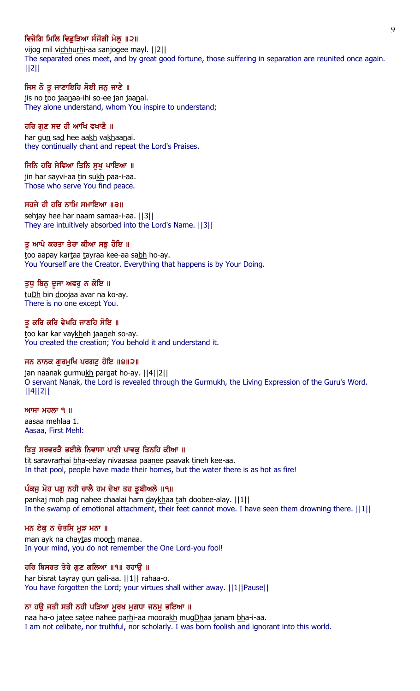## ਵਿਜੋਗਿ ਮਿਲਿ ਵਿਛੜਿਆ ਸੰਜੋਗੀ ਮੇਲ ॥੨॥

vijog mil vichhurhi-aa sanjogee mayl. | [2] The separated ones meet, and by great good fortune, those suffering in separation are reunited once again. ||2||

## ਜਿਸ ਨੋ ਤੁ ਜਾਣਾਇਹਿ ਸੋਈ ਜਨ ਜਾਣੈ ॥

jis no too jaanaa-ihi so-ee jan jaanai. They alone understand, whom You inspire to understand;

#### ਹਰਿ ਗੁਣ ਸਦ ਹੀ ਆਖਿ ਵਖਾਣੈ ॥

har gun sad hee aakh vakhaanai. they continually chant and repeat the Lord's Praises.

#### ਜਿਨਿ ਹਰਿ ਸੇਵਿਆ ਤਿਨਿ ਸੁਖੁ ਪਾਇਆ ॥

jin har sayvi-aa tin sukh paa-i-aa. Those who serve You find peace.

#### ਸਹਜੇ ਹੀ ਹਰਿ ਨਾਮਿ ਸਮਾਇਆ ॥੩॥

sehjay hee har naam samaa-i-aa. ||3|| They are intuitively absorbed into the Lord's Name. ||3||

#### ਤੂ ਆਪੇ ਕਰਤਾ ਤੇਰਾ ਕੀਆ ਸਭੂ ਹੋਇ ॥

too aapay kartaa tayraa kee-aa sabh ho-ay. You Yourself are the Creator. Everything that happens is by Your Doing.

#### ਤੁਧੁ ਬਿਨੁ ਦੂਜਾ ਅਵਰੁ ਨ ਕੋਇ ॥

tuDh bin doojaa avar na ko-ay. There is no one except You.

### ਤੂ ਕਰਿ ਕਰਿ ਵੇਖਹਿ ਜਾਣਹਿ ਸੋਇ ॥

too kar kar vaykheh jaaneh so-ay. You created the creation; You behold it and understand it.

### ਜਨ ਨਾਨਕ ਗੁਰਮੁਖਿ ਪਰਗਟੁ ਹੋਇ ॥੪॥੨॥

jan naanak gurmukh pargat ho-ay. ||4||2|| O servant Nanak, the Lord is revealed through the Gurmukh, the Living Expression of the Guru's Word. ||4||2||

### $MT$ ਸਾ ਮਹਲਾ ੧ ॥

aasaa mehlaa 1. Aasaa, First Mehl:

## ਤਿਤ ਸਰਵਰੜੈ ਭਈਲੇ ਨਿਵਾਸਾ ਪਾਣੀ ਪਾਵਕ ਤਿਨਹਿ ਕੀਆ ॥

tit saravrarhai bha-eelay nivaasaa paanee paavak tineh kee-aa. In that pool, people have made their homes, but the water there is as hot as fire!

#### ਪੰਕਜੂ ਮੋਹ ਪਗੂ ਨਹੀ ਚਾਲੈ ਹਮ ਦੇਖਾ ਤਹ ਡੁਬੀਅਲੇ ॥੧॥

pankaj moh pag nahee chaalai ham daykhaa tah doobee-alay. ||1|| In the swamp of emotional attachment, their feet cannot move. I have seen them drowning there.  $||1||$ 

#### ਮਨ ਏਕੁ ਨ ਚੇਤਸਿ ਮੁੜ ਮਨਾ ॥

man ayk na chaytas moorh manaa. In your mind, you do not remember the One Lord-you fool!

## ਹਰਿ ਬਿਸਰਤ ਤੇਰੇ ਗੁਣ ਗਲਿਆ ॥੧॥ ਰਹਾਉ ॥

har bisrat tayray gun gali-aa. ||1|| rahaa-o. You have forgotten the Lord; your virtues shall wither away. ||1||Pause||

#### ਨਾ ਹਉ ਜਤੀ ਸਤੀ ਨਹੀ ਪੜਿਆ ਮੁਰਖ ਮੁਗਧਾ ਜਨਮੁ ਭਇਆ ॥

naa ha-o jatee satee nahee parhi-aa moorakh mugDhaa janam bha-i-aa. I am not celibate, nor truthful, nor scholarly. I was born foolish and ignorant into this world.